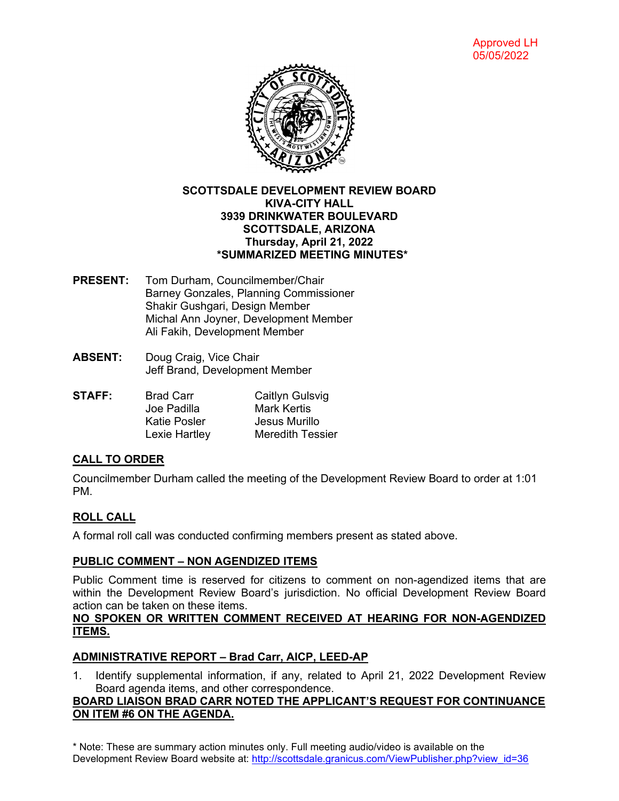

## **SCOTTSDALE DEVELOPMENT REVIEW BOARD KIVA-CITY HALL 3939 DRINKWATER BOULEVARD SCOTTSDALE, ARIZONA Thursday, April 21, 2022 \*SUMMARIZED MEETING MINUTES\***

- **PRESENT:** Tom Durham, Councilmember/Chair Barney Gonzales, Planning Commissioner Shakir Gushgari, Design Member Michal Ann Joyner, Development Member Ali Fakih, Development Member
- **ABSENT:** Doug Craig, Vice Chair Jeff Brand, Development Member
- **STAFF:** Brad Carr Caitlyn Gulsvig Joe Padilla Mark Kertis<br>Katie Posler Mark Murill Jesus Murillo Lexie Hartley Meredith Tessier

## **CALL TO ORDER**

Councilmember Durham called the meeting of the Development Review Board to order at 1:01 PM.

# **ROLL CALL**

A formal roll call was conducted confirming members present as stated above.

## **PUBLIC COMMENT – NON AGENDIZED ITEMS**

Public Comment time is reserved for citizens to comment on non-agendized items that are within the Development Review Board's jurisdiction. No official Development Review Board action can be taken on these items.

### **NO SPOKEN OR WRITTEN COMMENT RECEIVED AT HEARING FOR NON-AGENDIZED ITEMS.**

# **ADMINISTRATIVE REPORT – Brad Carr, AICP, LEED-AP**

1. Identify supplemental information, if any, related to April 21, 2022 Development Review Board agenda items, and other correspondence.

## **BOARD LIAISON BRAD CARR NOTED THE APPLICANT'S REQUEST FOR CONTINUANCE ON ITEM #6 ON THE AGENDA.**

\* Note: These are summary action minutes only. Full meeting audio/video is available on the Development Review Board website at: [http://scottsdale.granicus.com/ViewPublisher.php?view\\_id=36](http://scottsdale.granicus.com/ViewPublisher.php?view_id=36)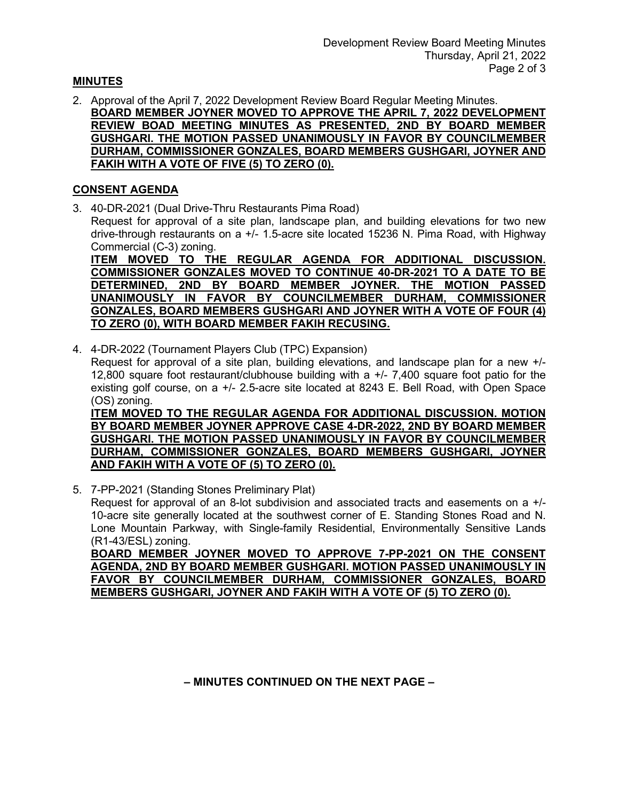## **MINUTES**

2. Approval of the April 7, 2022 Development Review Board Regular Meeting Minutes. **BOARD MEMBER JOYNER MOVED TO APPROVE THE APRIL 7, 2022 DEVELOPMENT REVIEW BOAD MEETING MINUTES AS PRESENTED, 2ND BY BOARD MEMBER GUSHGARI. THE MOTION PASSED UNANIMOUSLY IN FAVOR BY COUNCILMEMBER DURHAM, COMMISSIONER GONZALES, BOARD MEMBERS GUSHGARI, JOYNER AND FAKIH WITH A VOTE OF FIVE (5) TO ZERO (0).**

## **CONSENT AGENDA**

3. 40-DR-2021 (Dual Drive-Thru Restaurants Pima Road) Request for approval of a site plan, landscape plan, and building elevations for two new drive-through restaurants on a +/- 1.5-acre site located 15236 N. Pima Road, with Highway Commercial (C-3) zoning. **ITEM MOVED TO THE REGULAR AGENDA FOR ADDITIONAL DISCUSSION.** 

**COMMISSIONER GONZALES MOVED TO CONTINUE 40-DR-2021 TO A DATE TO BE DETERMINED, 2ND BY BOARD MEMBER JOYNER. THE MOTION PASSED UNANIMOUSLY IN FAVOR BY COUNCILMEMBER DURHAM, COMMISSIONER GONZALES, BOARD MEMBERS GUSHGARI AND JOYNER WITH A VOTE OF FOUR (4) TO ZERO (0), WITH BOARD MEMBER FAKIH RECUSING.** 

4. 4-DR-2022 (Tournament Players Club (TPC) Expansion) Request for approval of a site plan, building elevations, and landscape plan for a new +/-

12,800 square foot restaurant/clubhouse building with a +/- 7,400 square foot patio for the existing golf course, on a +/- 2.5-acre site located at 8243 E. Bell Road, with Open Space (OS) zoning.

**ITEM MOVED TO THE REGULAR AGENDA FOR ADDITIONAL DISCUSSION. MOTION BY BOARD MEMBER JOYNER APPROVE CASE 4-DR-2022, 2ND BY BOARD MEMBER GUSHGARI. THE MOTION PASSED UNANIMOUSLY IN FAVOR BY COUNCILMEMBER DURHAM, COMMISSIONER GONZALES, BOARD MEMBERS GUSHGARI, JOYNER AND FAKIH WITH A VOTE OF (5) TO ZERO (0).**

5. 7-PP-2021 (Standing Stones Preliminary Plat) Request for approval of an 8-lot subdivision and associated tracts and easements on a +/- 10-acre site generally located at the southwest corner of E. Standing Stones Road and N. Lone Mountain Parkway, with Single-family Residential, Environmentally Sensitive Lands (R1-43/ESL) zoning.

**BOARD MEMBER JOYNER MOVED TO APPROVE 7-PP-2021 ON THE CONSENT AGENDA, 2ND BY BOARD MEMBER GUSHGARI. MOTION PASSED UNANIMOUSLY IN FAVOR BY COUNCILMEMBER DURHAM, COMMISSIONER GONZALES, BOARD MEMBERS GUSHGARI, JOYNER AND FAKIH WITH A VOTE OF (5) TO ZERO (0).**

**– MINUTES CONTINUED ON THE NEXT PAGE –**